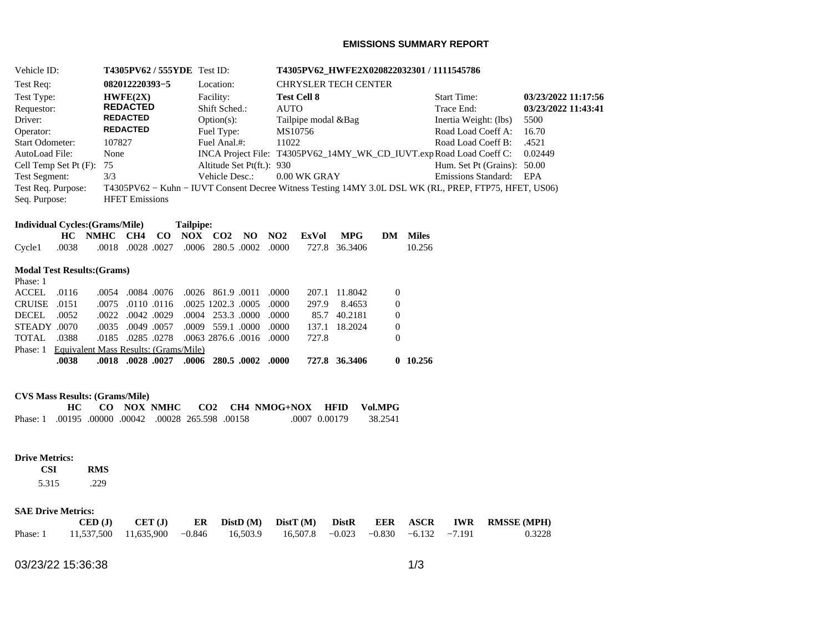## **EMISSIONS SUMMARY REPORT**

| <b>T4305PV62 / 555YDE</b><br>Vehicle ID: |                                        |                 | Test ID:              |               |                  | T4305PV62 HWFE2X020822032301 / 1111545786 |                             |                 |              |            |                       |                            |                                                                                                       |                     |
|------------------------------------------|----------------------------------------|-----------------|-----------------------|---------------|------------------|-------------------------------------------|-----------------------------|-----------------|--------------|------------|-----------------------|----------------------------|-------------------------------------------------------------------------------------------------------|---------------------|
| Test Req:                                | 082012220393-5                         |                 |                       | Location:     |                  |                                           | <b>CHRYSLER TECH CENTER</b> |                 |              |            |                       |                            |                                                                                                       |                     |
|                                          | Test Type:<br>HWFE(2X)                 |                 |                       | Facility:     |                  |                                           | <b>Test Cell 8</b>          |                 |              |            | <b>Start Time:</b>    | 03/23/2022 11:17:56        |                                                                                                       |                     |
| Requestor:                               |                                        |                 | <b>REDACTED</b>       |               |                  | Shift Sched.:                             |                             |                 | <b>AUTO</b>  |            |                       |                            | Trace End:                                                                                            | 03/23/2022 11:43:41 |
| Driver:                                  | <b>REDACTED</b>                        |                 |                       | $Option(s)$ : |                  |                                           | Tailpipe modal & Bag        |                 |              |            | Inertia Weight: (lbs) | 5500                       |                                                                                                       |                     |
| Operator:                                |                                        | <b>REDACTED</b> |                       |               |                  | Fuel Type:                                |                             |                 | MS10756      |            |                       |                            | Road Load Coeff A:                                                                                    | 16.70               |
| <b>Start Odometer:</b>                   |                                        | 107827          |                       |               |                  | Fuel Anal.#:                              |                             | 11022           |              |            |                       |                            | Road Load Coeff B:                                                                                    | .4521               |
| AutoLoad File:                           |                                        | None            |                       |               |                  |                                           |                             |                 |              |            |                       |                            | INCA Project File: T4305PV62_14MY_WK_CD_IUVT.expRoad Load Coeff C:                                    | 0.02449             |
|                                          | Cell Temp Set Pt (F):                  | 75              |                       |               |                  | Altitude Set Pt(ft.): 930                 |                             |                 |              |            |                       |                            | Hum. Set Pt (Grains): 50.00                                                                           |                     |
| Test Segment:                            |                                        | 3/3             |                       |               |                  | Vehicle Desc.:                            |                             |                 | 0.00 WK GRAY |            |                       | <b>Emissions Standard:</b> | EPA                                                                                                   |                     |
| Test Req. Purpose:                       |                                        |                 |                       |               |                  |                                           |                             |                 |              |            |                       |                            | T4305PV62 – Kuhn – IUVT Consent Decree Witness Testing 14MY 3.0L DSL WK (RL, PREP, FTP75, HFET, US06) |                     |
| Seq. Purpose:                            |                                        |                 | <b>HFET</b> Emissions |               |                  |                                           |                             |                 |              |            |                       |                            |                                                                                                       |                     |
|                                          | <b>Individual Cycles: (Grams/Mile)</b> |                 |                       |               | <b>Tailpipe:</b> |                                           |                             |                 |              |            |                       |                            |                                                                                                       |                     |
|                                          | HC.                                    | <b>NMHC</b>     | CH4                   | $\bf{CO}$     | NOX              | CO <sub>2</sub>                           | NO.                         | NO <sub>2</sub> | ExVol        | <b>MPG</b> | DM                    | <b>Miles</b>               |                                                                                                       |                     |
| Cycle1                                   | .0038                                  | .0018           | .0028                 | .0027         | .0006            | 280.5                                     | .0002                       | .0000           | 727.8        | 36.3406    |                       | 10.256                     |                                                                                                       |                     |
|                                          | <b>Modal Test Results: (Grams)</b>     |                 |                       |               |                  |                                           |                             |                 |              |            |                       |                            |                                                                                                       |                     |
| Phase: 1                                 |                                        |                 |                       |               |                  |                                           |                             |                 |              |            |                       |                            |                                                                                                       |                     |
| <b>ACCEL</b>                             | .0116                                  | .0054           |                       | .0084.0076    | .0026            | 861.9 .0011                               |                             | .0000           | 207.1        | 11.8042    | $\boldsymbol{0}$      |                            |                                                                                                       |                     |
| <b>CRUISE</b>                            | .0151                                  | .0075           |                       | .0110.0116    |                  | .0025 1202.3 .0005                        |                             | .0000           | 297.9        | 8.4653     | $\mathbf{0}$          |                            |                                                                                                       |                     |
| <b>DECEL</b>                             | .0052                                  | .0022           | .0042.0029            |               | .0004            |                                           | 253.3.0000                  | .0000           | 85.7         | 40.2181    | $\Omega$              |                            |                                                                                                       |                     |

| Phase: 1 Equivalent Mass Results: (Grams/Mile) |               |                                                                                                          |
|------------------------------------------------|---------------|----------------------------------------------------------------------------------------------------------|
|                                                | 72.7.8        |                                                                                                          |
|                                                | 137.1 18.2024 |                                                                                                          |
|                                                |               | .0000 .0000 .0051 .0009 .0000 .0000 .0000<br>0000. 0016. 0285. 0278. 0278. 0063. 0276. 0016. 0000. TOTAL |

## **CVS Mass Results: (Grams/Mile)**

|                                                     |  |  |  | CO NOX NMHC CO2 CH4 NMOG+NOX HFID VolMPG |               |         |
|-----------------------------------------------------|--|--|--|------------------------------------------|---------------|---------|
| Phase: 1 .00195 .00000 .00042 .00028 265.598 .00158 |  |  |  |                                          | .0007 0.00179 | 38.2541 |

### **Drive Metrics:**

### **CSI RMS**  5.315 .229

### **SAE Drive Metrics:**

|                                                                                     |  |  |  |  | $\text{CED (J)}$ $\text{CET (J)}$ $\text{ER}$ $\text{DistD (M)}$ $\text{DistT (M)}$ $\text{DistR}$ $\text{EER}$ $\text{ASCR}$ IWR RMSSE(MPH) |
|-------------------------------------------------------------------------------------|--|--|--|--|----------------------------------------------------------------------------------------------------------------------------------------------|
| Phase: 1 11,537,500 11,635,900 -0.846 16,503.9 16,507.8 -0.023 -0.830 -6.132 -7.191 |  |  |  |  | 0.3228                                                                                                                                       |

03/23/22 15:36:38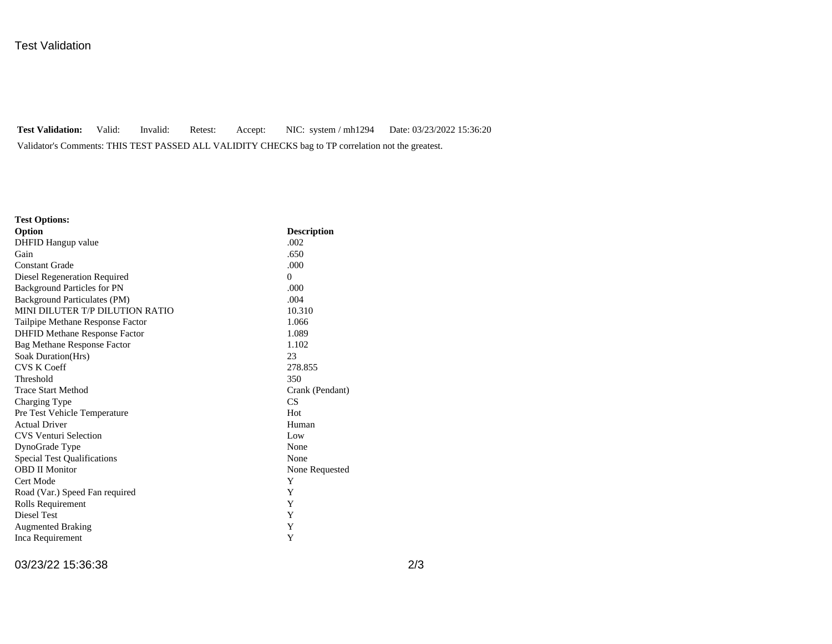## Test Validation

**Test Validation:** Valid: Invalid: Retest: Accept: NIC: system / mh1294 Date: 03/23/2022 15:36:20 Validator's Comments: THIS TEST PASSED ALL VALIDITY CHECKS bag to TP correlation not the greatest.

| <b>Test Options:</b>                 |                    |
|--------------------------------------|--------------------|
| Option                               | <b>Description</b> |
| DHFID Hangup value                   | .002               |
| Gain                                 | .650               |
| <b>Constant Grade</b>                | .000               |
| Diesel Regeneration Required         | $\Omega$           |
| <b>Background Particles for PN</b>   | .000               |
| Background Particulates (PM)         | .004               |
| MINI DILUTER T/P DILUTION RATIO      | 10.310             |
| Tailpipe Methane Response Factor     | 1.066              |
| <b>DHFID Methane Response Factor</b> | 1.089              |
| Bag Methane Response Factor          | 1.102              |
| Soak Duration(Hrs)                   | 23                 |
| <b>CVS K Coeff</b>                   | 278.855            |
| Threshold                            | 350                |
| <b>Trace Start Method</b>            | Crank (Pendant)    |
| Charging Type                        | CS                 |
| Pre Test Vehicle Temperature         | Hot                |
| <b>Actual Driver</b>                 | Human              |
| <b>CVS Venturi Selection</b>         | Low                |
| DynoGrade Type                       | None               |
| <b>Special Test Qualifications</b>   | None               |
| <b>OBD II Monitor</b>                | None Requested     |
| Cert Mode                            | Y                  |
| Road (Var.) Speed Fan required       | Y                  |
| Rolls Requirement                    | Y                  |
| Diesel Test                          | Y                  |
| <b>Augmented Braking</b>             | Y                  |
| Inca Requirement                     | Y                  |

03/23/22 15:36:38 2/3